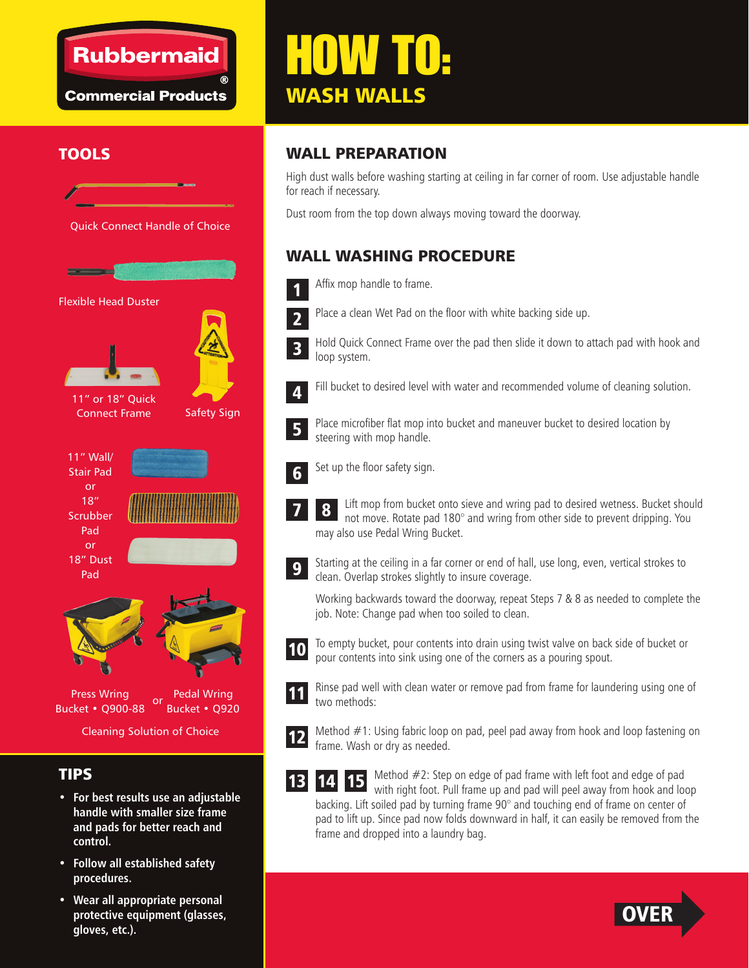## **Rubbermaid**

**Commercial Products** 

# HOW TO: WASH WALLS



#### TIPS

- **For best results use an adjustable handle with smaller size frame and pads for better reach and control.**
- **Follow all established safety procedures.**
- **Wear all appropriate personal protective equipment (glasses, gloves, etc.).**

### TOOLS WALL PREPARATION

High dust walls before washing starting at ceiling in far corner of room. Use adjustable handle for reach if necessary.

Dust room from the top down always moving toward the doorway.

#### WALL WASHING PROCEDURE

- Affix mop handle to frame. 1
- Place a clean Wet Pad on the floor with white backing side up. 2
- 3
	- Hold Quick Connect Frame over the pad then slide it down to attach pad with hook and loop system.
- 4

Fill bucket to desired level with water and recommended volume of cleaning solution.

- Place microfiber flat mop into bucket and maneuver bucket to desired location by steering with mop handle. 5
- Set up the floor safety sign. 6
	- Lift mop from bucket onto sieve and wring pad to desired wetness. Bucket should not move. Rotate pad 180° and wring from other side to prevent dripping. You may also use Pedal Wring Bucket. 8
- 9

7

Starting at the ceiling in a far corner or end of hall, use long, even, vertical strokes to clean. Overlap strokes slightly to insure coverage.

Working backwards toward the doorway, repeat Steps 7 & 8 as needed to complete the job. Note: Change pad when too soiled to clean.



To empty bucket, pour contents into drain using twist valve on back side of bucket or pour contents into sink using one of the corners as a pouring spout.



Rinse pad well with clean water or remove pad from frame for laundering using one of two methods:



Method #1: Using fabric loop on pad, peel pad away from hook and loop fastening on frame. Wash or dry as needed.

14 15 13

Method #2: Step on edge of pad frame with left foot and edge of pad with right foot. Pull frame up and pad will peel away from hook and loop backing. Lift soiled pad by turning frame 90° and touching end of frame on center of pad to lift up. Since pad now folds downward in half, it can easily be removed from the frame and dropped into a laundry bag.